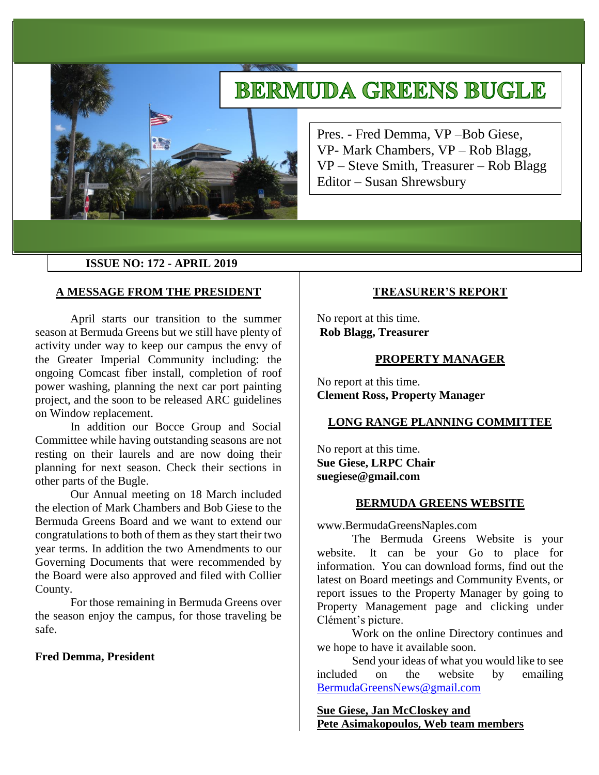# **BERMUDA GREENS BUGLE**



Pres. - Fred Demma, VP –Bob Giese, VP- Mark Chambers, VP – Rob Blagg, VP – Steve Smith, Treasurer – Rob Blagg Editor – Susan Shrewsbury

### **ISSUE NO: 172 - APRIL 2019**

### **A MESSAGE FROM THE PRESIDENT**

April starts our transition to the summer season at Bermuda Greens but we still have plenty of activity under way to keep our campus the envy of the Greater Imperial Community including: the ongoing Comcast fiber install, completion of roof power washing, planning the next car port painting project, and the soon to be released ARC guidelines on Window replacement.

In addition our Bocce Group and Social Committee while having outstanding seasons are not resting on their laurels and are now doing their planning for next season. Check their sections in other parts of the Bugle.

Our Annual meeting on 18 March included the election of Mark Chambers and Bob Giese to the Bermuda Greens Board and we want to extend our congratulations to both of them as they start their two year terms. In addition the two Amendments to our Governing Documents that were recommended by the Board were also approved and filed with Collier County.

For those remaining in Bermuda Greens over the season enjoy the campus, for those traveling be safe.

### **Fred Demma, President**

#### **TREASURER'S REPORT**

No report at this time. **Rob Blagg, Treasurer** 

#### **PROPERTY MANAGER**

No report at this time. **Clement Ross, Property Manager** 

#### **LONG RANGE PLANNING COMMITTEE**

No report at this time. **Sue Giese, LRPC Chair suegiese@gmail.com**

## **BERMUDA GREENS WEBSITE**

www.BermudaGreensNaples.com

The Bermuda Greens Website is your website. It can be your Go to place for information. You can download forms, find out the latest on Board meetings and Community Events, or report issues to the Property Manager by going to Property Management page and clicking under Clément's picture.

Work on the online Directory continues and we hope to have it available soon.

Send your ideas of what you would like to see included on the website by emailing [BermudaGreensNews@gmail.com](mailto:BermudaGreensNews@gmail.com)

**Sue Giese, Jan McCloskey and Pete Asimakopoulos, Web team members**